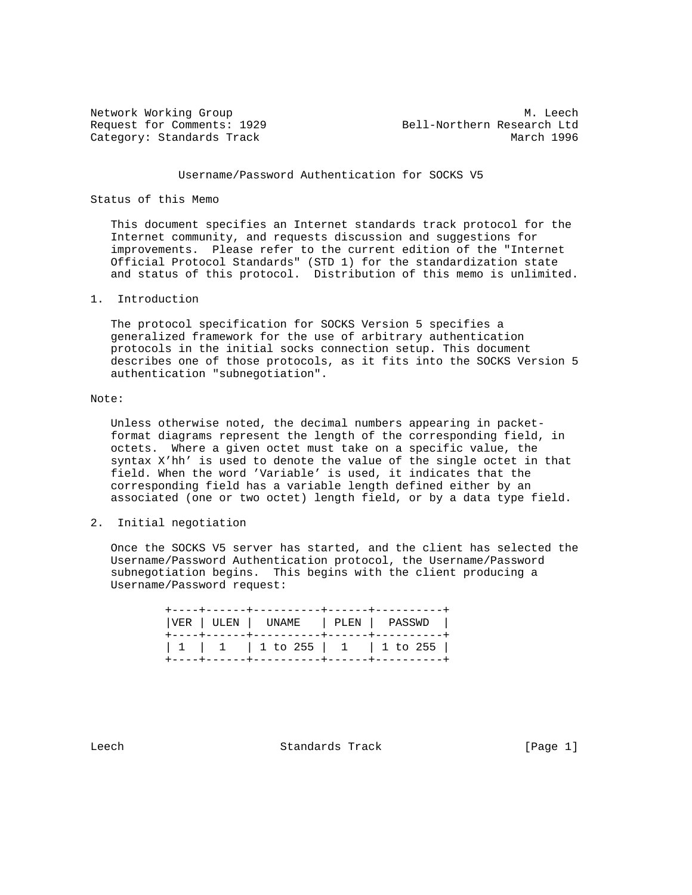Network Working Group Methods and Methods and Methods and Methods and Methods and Methods and Methods and Methods and Methods and Methods and Methods and Methods and Methods and Methods and Methods and Methods and Methods Request for Comments: 1929 Bell-Northern Research Ltd Category: Standards Track March 1996

## Username/Password Authentication for SOCKS V5

## Status of this Memo

 This document specifies an Internet standards track protocol for the Internet community, and requests discussion and suggestions for improvements. Please refer to the current edition of the "Internet Official Protocol Standards" (STD 1) for the standardization state and status of this protocol. Distribution of this memo is unlimited.

## 1. Introduction

 The protocol specification for SOCKS Version 5 specifies a generalized framework for the use of arbitrary authentication protocols in the initial socks connection setup. This document describes one of those protocols, as it fits into the SOCKS Version 5 authentication "subnegotiation".

## Note:

 Unless otherwise noted, the decimal numbers appearing in packet format diagrams represent the length of the corresponding field, in octets. Where a given octet must take on a specific value, the syntax X'hh' is used to denote the value of the single octet in that field. When the word 'Variable' is used, it indicates that the corresponding field has a variable length defined either by an associated (one or two octet) length field, or by a data type field.

2. Initial negotiation

 Once the SOCKS V5 server has started, and the client has selected the Username/Password Authentication protocol, the Username/Password subnegotiation begins. This begins with the client producing a Username/Password request:

|  | VER   ULEN   UNAME   PLEN   PASSWD                |  |  |
|--|---------------------------------------------------|--|--|
|  | $1 \quad 1 \quad 1 \quad 1$ to 255   1   1 to 255 |  |  |

Leech Standards Track [Page 1]